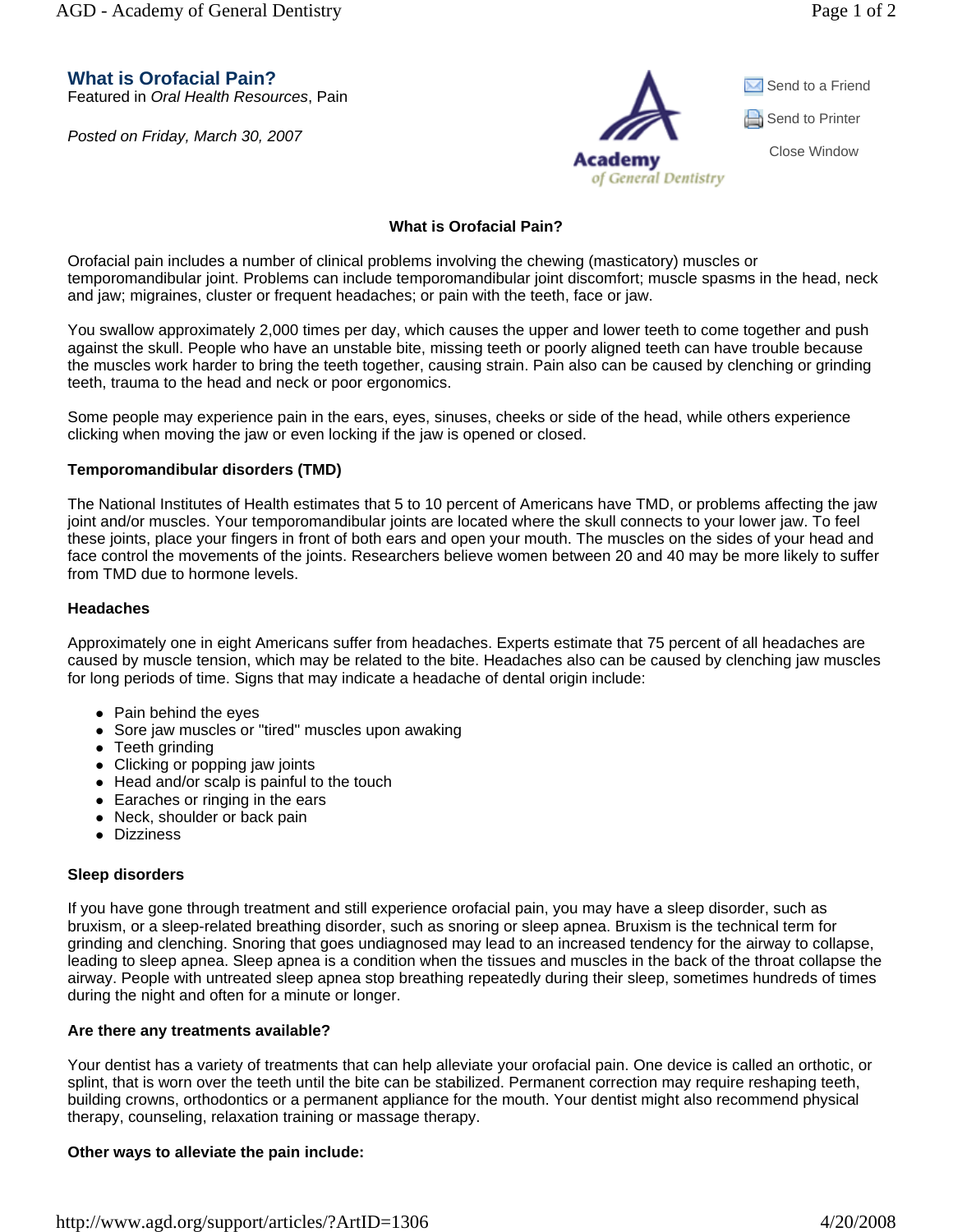AGD - Academy of General Dentistry and the set of 2

**What is Orofacial Pain?**

Featured in *Oral Health Resources*, Pain

*Posted on Friday, March 30, 2007*



# **What is Orofacial Pain?**

Orofacial pain includes a number of clinical problems involving the chewing (masticatory) muscles or temporomandibular joint. Problems can include temporomandibular joint discomfort; muscle spasms in the head, neck and jaw; migraines, cluster or frequent headaches; or pain with the teeth, face or jaw.

You swallow approximately 2,000 times per day, which causes the upper and lower teeth to come together and push against the skull. People who have an unstable bite, missing teeth or poorly aligned teeth can have trouble because the muscles work harder to bring the teeth together, causing strain. Pain also can be caused by clenching or grinding teeth, trauma to the head and neck or poor ergonomics.

Some people may experience pain in the ears, eyes, sinuses, cheeks or side of the head, while others experience clicking when moving the jaw or even locking if the jaw is opened or closed.

## **Temporomandibular disorders (TMD)**

The National Institutes of Health estimates that 5 to 10 percent of Americans have TMD, or problems affecting the jaw joint and/or muscles. Your temporomandibular joints are located where the skull connects to your lower jaw. To feel these joints, place your fingers in front of both ears and open your mouth. The muscles on the sides of your head and face control the movements of the joints. Researchers believe women between 20 and 40 may be more likely to suffer from TMD due to hormone levels.

#### **Headaches**

Approximately one in eight Americans suffer from headaches. Experts estimate that 75 percent of all headaches are caused by muscle tension, which may be related to the bite. Headaches also can be caused by clenching jaw muscles for long periods of time. Signs that may indicate a headache of dental origin include:

- $\bullet$  Pain behind the eyes
- Sore jaw muscles or "tired" muscles upon awaking
- $\bullet$  Teeth grinding
- Clicking or popping jaw joints
- $\bullet$  Head and/or scalp is painful to the touch
- $\bullet$  Earaches or ringing in the ears
- Neck, shoulder or back pain
- Dizziness

#### **Sleep disorders**

If you have gone through treatment and still experience orofacial pain, you may have a sleep disorder, such as bruxism, or a sleep-related breathing disorder, such as snoring or sleep apnea. Bruxism is the technical term for grinding and clenching. Snoring that goes undiagnosed may lead to an increased tendency for the airway to collapse, leading to sleep apnea. Sleep apnea is a condition when the tissues and muscles in the back of the throat collapse the airway. People with untreated sleep apnea stop breathing repeatedly during their sleep, sometimes hundreds of times during the night and often for a minute or longer.

#### **Are there any treatments available?**

Your dentist has a variety of treatments that can help alleviate your orofacial pain. One device is called an orthotic, or splint, that is worn over the teeth until the bite can be stabilized. Permanent correction may require reshaping teeth, building crowns, orthodontics or a permanent appliance for the mouth. Your dentist might also recommend physical therapy, counseling, relaxation training or massage therapy.

# **Other ways to alleviate the pain include:**